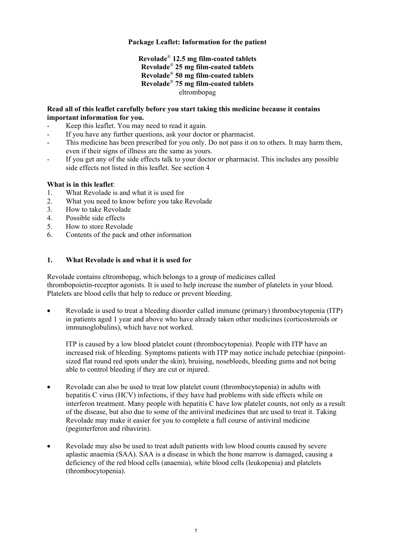# **Package Leaflet: Information for the patient**

# **Revolade**® **12.5 mg film-coated tablets Revolade**® **25 mg film-coated tablets Revolade**® **50 mg film-coated tablets Revolade**® **75 mg film-coated tablets** eltrombopag

# **Read all of this leaflet carefully before you start taking this medicine because it contains important information for you.**

- Keep this leaflet. You may need to read it again.
- If you have any further questions, ask your doctor or pharmacist.
- This medicine has been prescribed for you only. Do not pass it on to others. It may harm them, even if their signs of illness are the same as yours.
- If you get any of the side effects talk to your doctor or pharmacist. This includes any possible side effects not listed in this leaflet. See section 4

# **What is in this leaflet**:

- 1. What Revolade is and what it is used for
- 2. What you need to know before you take Revolade
- 3. How to take Revolade
- 4. Possible side effects
- 5. How to store Revolade
- 6. Contents of the pack and other information

# **1. What Revolade is and what it is used for**

Revolade contains eltrombopag, which belongs to a group of medicines called thrombopoietin-receptor agonists*.* It is used to help increase the number of platelets in your blood. Platelets are blood cells that help to reduce or prevent bleeding.

• Revolade is used to treat a bleeding disorder called immune (primary) thrombocytopenia (ITP) in patients aged 1 year and above who have already taken other medicines (corticosteroids or immunoglobulins), which have not worked.

ITP is caused by a low blood platelet count (thrombocytopenia). People with ITP have an increased risk of bleeding. Symptoms patients with ITP may notice include petechiae (pinpointsized flat round red spots under the skin), bruising, nosebleeds, bleeding gums and not being able to control bleeding if they are cut or injured.

- Revolade can also be used to treat low platelet count (thrombocytopenia) in adults with hepatitis C virus (HCV) infections, if they have had problems with side effects while on interferon treatment. Many people with hepatitis C have low platelet counts, not only as a result of the disease, but also due to some of the antiviral medicines that are used to treat it. Taking Revolade may make it easier for you to complete a full course of antiviral medicine (peginterferon and ribavirin).
- Revolade may also be used to treat adult patients with low blood counts caused by severe aplastic anaemia (SAA). SAA is a disease in which the bone marrow is damaged, causing a deficiency of the red blood cells (anaemia), white blood cells (leukopenia) and platelets (thrombocytopenia).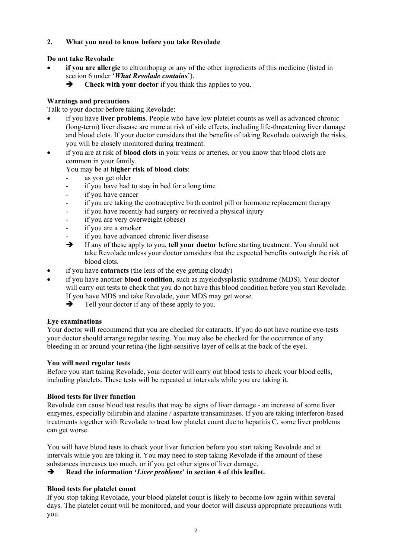# **2. What you need to know before you take Revolade**

# **Do not take Revolade**

- if you are allergic to eltrombopag or any of the other ingredients of this medicine (listed in section 6 under '*What Revolade contains*').
	- **Fig. 2.5** Check with your doctor if you think this applies to you.

# **Warnings and precautions**

Talk to your doctor before taking Revolade:

- if you have **liver problems**. People who have low platelet counts as well as advanced chronic (long-term) liver disease are more at risk of side effects, including life-threatening liver damage and blood clots. If your doctor considers that the benefits of taking Revolade outweigh the risks, you will be closely monitored during treatment.
- if you are at risk of **blood clots** in your veins or arteries, or you know that blood clots are common in your family.

# You may be at **higher risk of blood clots**:

- as you get older
- if you have had to stay in bed for a long time
- if you have cancer
- if you are taking the contraceptive birth control pill or hormone replacement therapy
- if you have recently had surgery or received a physical injury
- if you are very overweight (obese)
- if you are a smoker
- if you have advanced chronic liver disease
- If any of these apply to you, **tell your doctor** before starting treatment. You should not take Revolade unless your doctor considers that the expected benefits outweigh the risk of blood clots.
- if you have **cataracts** (the lens of the eye getting cloudy)
- if you have another **blood condition**, such as myelodysplastic syndrome (MDS). Your doctor will carry out tests to check that you do not have this blood condition before you start Revolade. If you have MDS and take Revolade, your MDS may get worse.
	- $\rightarrow$  Tell your doctor if any of these apply to you.

# **Eye examinations**

Your doctor will recommend that you are checked for cataracts. If you do not have routine eye-tests your doctor should arrange regular testing. You may also be checked for the occurrence of any bleeding in or around your retina (the light-sensitive layer of cells at the back of the eye).

# **You will need regular tests**

Before you start taking Revolade, your doctor will carry out blood tests to check your blood cells, including platelets. These tests will be repeated at intervals while you are taking it.

# **Blood tests for liver function**

Revolade can cause blood test results that may be signs of liver damage - an increase of some liver enzymes, especially bilirubin and alanine / aspartate transaminases. If you are taking interferon-based treatments together with Revolade to treat low platelet count due to hepatitis C, some liver problems can get worse.

You will have blood tests to check your liver function before you start taking Revolade and at intervals while you are taking it. You may need to stop taking Revolade if the amount of these substances increases too much, or if you get other signs of liver damage.

**Read the information '***Liver problems***' in section 4 of this leaflet.**

# **Blood tests for platelet count**

If you stop taking Revolade, your blood platelet count is likely to become low again within several days. The platelet count will be monitored, and your doctor will discuss appropriate precautions with you.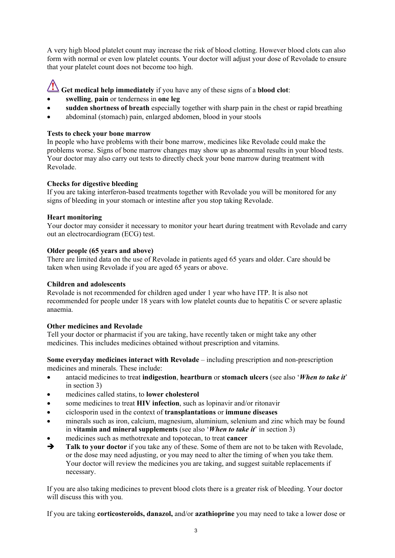A very high blood platelet count may increase the risk of blood clotting. However blood clots can also form with normal or even low platelet counts. Your doctor will adjust your dose of Revolade to ensure that your platelet count does not become too high.

**Get medical help immediately** if you have any of these signs of a **blood clot**:

- **swelling**, **pain** or tenderness in **one leg**
- **sudden shortness of breath** especially together with sharp pain in the chest or rapid breathing
- abdominal (stomach) pain, enlarged abdomen, blood in your stools

## **Tests to check your bone marrow**

In people who have problems with their bone marrow, medicines like Revolade could make the problems worse. Signs of bone marrow changes may show up as abnormal results in your blood tests. Your doctor may also carry out tests to directly check your bone marrow during treatment with Revolade.

# **Checks for digestive bleeding**

If you are taking interferon-based treatments together with Revolade you will be monitored for any signs of bleeding in your stomach or intestine after you stop taking Revolade.

# **Heart monitoring**

Your doctor may consider it necessary to monitor your heart during treatment with Revolade and carry out an electrocardiogram (ECG) test.

# **Older people (65 years and above)**

There are limited data on the use of Revolade in patients aged 65 years and older. Care should be taken when using Revolade if you are aged 65 years or above.

### **Children and adolescents**

Revolade is not recommended for children aged under 1 year who have ITP. It is also not recommended for people under 18 years with low platelet counts due to hepatitis C or severe aplastic anaemia.

# **Other medicines and Revolade**

Tell your doctor or pharmacist if you are taking, have recently taken or might take any other medicines. This includes medicines obtained without prescription and vitamins.

**Some everyday medicines interact with Revolade** – including prescription and non-prescription medicines and minerals. These include:

- antacid medicines to treat **indigestion**, **heartburn** or **stomach ulcers** (see also '*When to take it*' in section 3)
- medicines called statins, to **lower cholesterol**
- some medicines to treat **HIV infection**, such as lopinavir and/or ritonavir
- ciclosporin used in the context of **transplantations** or **immune diseases**
- minerals such as iron, calcium, magnesium, aluminium, selenium and zinc which may be found in **vitamin and mineral supplements** (see also '*When to take it*' in section 3)
- medicines such as methotrexate and topotecan, to treat **cancer**<br>• Talk to your doctor if you take any of these. Some of them are
- **Talk to your doctor** if you take any of these. Some of them are not to be taken with Revolade, or the dose may need adjusting, or you may need to alter the timing of when you take them. Your doctor will review the medicines you are taking, and suggest suitable replacements if necessary.

If you are also taking medicines to prevent blood clots there is a greater risk of bleeding. Your doctor will discuss this with you.

If you are taking **corticosteroids, danazol,** and/or **azathioprine** you may need to take a lower dose or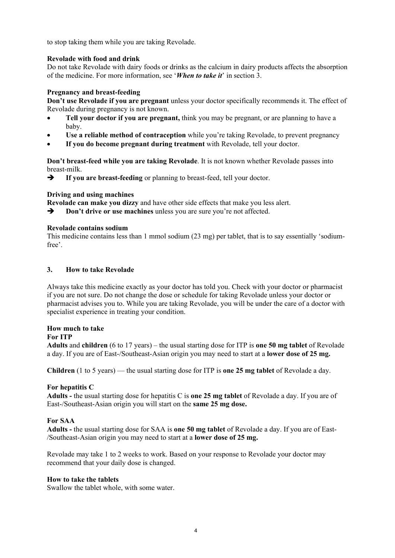to stop taking them while you are taking Revolade.

### **Revolade with food and drink**

Do not take Revolade with dairy foods or drinks as the calcium in dairy products affects the absorption of the medicine. For more information, see '*When to take it*' in section 3.

# **Pregnancy and breast-feeding**

**Don't use Revolade if you are pregnant** unless your doctor specifically recommends it. The effect of Revolade during pregnancy is not known.

- **Tell your doctor if you are pregnant,** think you may be pregnant, or are planning to have a baby.
- **Use a reliable method of contraception** while you're taking Revolade, to prevent pregnancy
- **If you do become pregnant during treatment** with Revolade, tell your doctor.

**Don't breast-feed while you are taking Revolade**. It is not known whether Revolade passes into breast-milk.

**If you are breast-feeding** or planning to breast-feed, tell your doctor.

# **Driving and using machines**

**Revolade can make you dizzy** and have other side effects that make you less alert.

**Don't drive or use machines** unless you are sure you're not affected.

### **Revolade contains sodium**

This medicine contains less than 1 mmol sodium (23 mg) per tablet, that is to say essentially 'sodiumfree'.

### **3. How to take Revolade**

Always take this medicine exactly as your doctor has told you. Check with your doctor or pharmacist if you are not sure. Do not change the dose or schedule for taking Revolade unless your doctor or pharmacist advises you to. While you are taking Revolade, you will be under the care of a doctor with specialist experience in treating your condition.

# **How much to take**

### **For ITP**

**Adults** and **children** (6 to 17 years) – the usual starting dose for ITP is **one 50 mg tablet** of Revolade a day. If you are of East-/Southeast-Asian origin you may need to start at a **lower dose of 25 mg.**

**Children** (1 to 5 years) — the usual starting dose for ITP is **one 25 mg tablet** of Revolade a day.

### **For hepatitis C**

**Adults -** the usual starting dose for hepatitis C is **one 25 mg tablet** of Revolade a day. If you are of East-/Southeast-Asian origin you will start on the **same 25 mg dose.**

# **For SAA**

**Adults -** the usual starting dose for SAA is **one 50 mg tablet** of Revolade a day. If you are of East- /Southeast-Asian origin you may need to start at a **lower dose of 25 mg.**

Revolade may take 1 to 2 weeks to work. Based on your response to Revolade your doctor may recommend that your daily dose is changed.

### **How to take the tablets**

Swallow the tablet whole, with some water.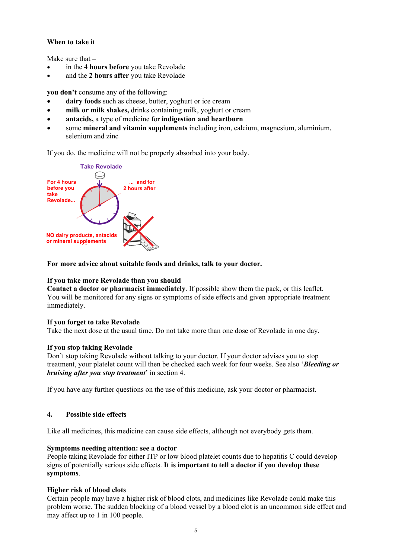# **When to take it**

Make sure that –

- in the **4 hours before** you take Revolade
- and the **2 hours after** you take Revolade

**you don't** consume any of the following:

- **dairy foods** such as cheese, butter, yoghurt or ice cream
- **milk or milk shakes,** drinks containing milk, yoghurt or cream
- **antacids,** a type of medicine for **indigestion and heartburn**
- some **mineral and vitamin supplements** including iron, calcium, magnesium, aluminium, selenium and zinc

If you do, the medicine will not be properly absorbed into your body.



**For more advice about suitable foods and drinks, talk to your doctor.**

## **If you take more Revolade than you should**

**Contact a doctor or pharmacist immediately**. If possible show them the pack, or this leaflet. You will be monitored for any signs or symptoms of side effects and given appropriate treatment immediately.

### **If you forget to take Revolade**

Take the next dose at the usual time. Do not take more than one dose of Revolade in one day.

### **If you stop taking Revolade**

Don't stop taking Revolade without talking to your doctor. If your doctor advises you to stop treatment, your platelet count will then be checked each week for four weeks. See also '*Bleeding or bruising after you stop treatment*' in section 4.

If you have any further questions on the use of this medicine, ask your doctor or pharmacist.

### **4. Possible side effects**

Like all medicines, this medicine can cause side effects, although not everybody gets them.

### **Symptoms needing attention: see a doctor**

People taking Revolade for either ITP or low blood platelet counts due to hepatitis C could develop signs of potentially serious side effects. **It is important to tell a doctor if you develop these symptoms**.

### **Higher risk of blood clots**

Certain people may have a higher risk of blood clots, and medicines like Revolade could make this problem worse. The sudden blocking of a blood vessel by a blood clot is an uncommon side effect and may affect up to 1 in 100 people.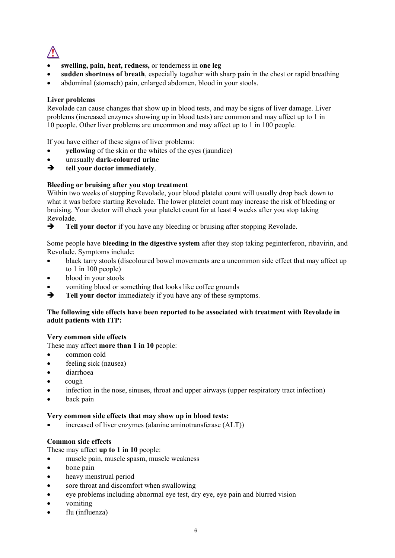

- **swelling, pain, heat, redness,** or tenderness in **one leg**
- **sudden shortness of breath**, especially together with sharp pain in the chest or rapid breathing
- abdominal (stomach) pain, enlarged abdomen, blood in your stools.

## **Liver problems**

Revolade can cause changes that show up in blood tests, and may be signs of liver damage. Liver problems (increased enzymes showing up in blood tests) are common and may affect up to 1 in 10 people. Other liver problems are uncommon and may affect up to 1 in 100 people.

If you have either of these signs of liver problems:

- **vellowing** of the skin or the whites of the eyes (jaundice)
- unusually **dark-coloured urine**
- **tell your doctor immediately**.

### **Bleeding or bruising after you stop treatment**

Within two weeks of stopping Revolade, your blood platelet count will usually drop back down to what it was before starting Revolade. The lower platelet count may increase the risk of bleeding or bruising. Your doctor will check your platelet count for at least 4 weeks after you stop taking Revolade.

**Tell your doctor** if you have any bleeding or bruising after stopping Revolade.

Some people have **bleeding in the digestive system** after they stop taking peginterferon, ribavirin, and Revolade. Symptoms include:

- black tarry stools (discoloured bowel movements are a uncommon side effect that may affect up to 1 in 100 people)
- blood in your stools
- vomiting blood or something that looks like coffee grounds<br>  $\rightarrow$  Tell your doctor immediately if you have any of these sym
- **Tell your doctor** immediately if you have any of these symptoms.

### **The following side effects have been reported to be associated with treatment with Revolade in adult patients with ITP:**

### **Very common side effects**

These may affect **more than 1 in 10** people:

- common cold
- feeling sick (nausea)
- diarrhoea
- cough
- infection in the nose, sinuses, throat and upper airways (upper respiratory tract infection)
- back pain

#### **Very common side effects that may show up in blood tests:**

increased of liver enzymes (alanine aminotransferase (ALT))

### **Common side effects**

These may affect **up to 1 in 10** people:

- muscle pain, muscle spasm, muscle weakness
- bone pain
- heavy menstrual period
- sore throat and discomfort when swallowing
- eye problems including abnormal eye test, dry eye, eye pain and blurred vision
- vomiting
- flu (influenza)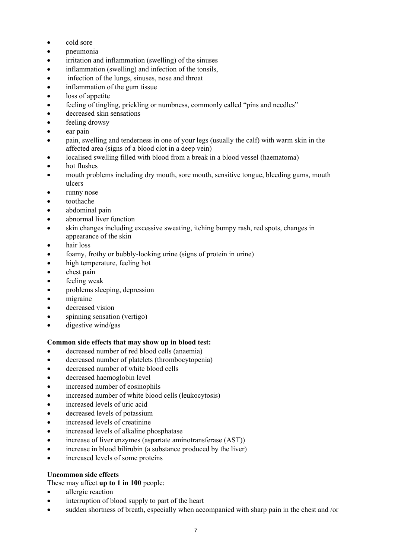- cold sore
- pneumonia
- irritation and inflammation (swelling) of the sinuses
- inflammation (swelling) and infection of the tonsils,
- infection of the lungs, sinuses, nose and throat
- inflammation of the gum tissue
- loss of appetite
- feeling of tingling, prickling or numbness, commonly called "pins and needles"
- decreased skin sensations
- feeling drowsy
- ear pain
- pain, swelling and tenderness in one of your legs (usually the calf) with warm skin in the affected area (signs of a blood clot in a deep vein)
- localised swelling filled with blood from a break in a blood vessel (haematoma)
- hot flushes
- mouth problems including dry mouth, sore mouth, sensitive tongue, bleeding gums, mouth ulcers
- runny nose
- toothache
- abdominal pain
- abnormal liver function
- skin changes including excessive sweating, itching bumpy rash, red spots, changes in appearance of the skin
- hair loss
- foamy, frothy or bubbly-looking urine (signs of protein in urine)
- high temperature, feeling hot
- chest pain
- feeling weak
- problems sleeping, depression
- migraine
- decreased vision
- spinning sensation (vertigo)
- digestive wind/gas

### **Common side effects that may show up in blood test:**

- decreased number of red blood cells (anaemia)
- decreased number of platelets (thrombocytopenia)
- decreased number of white blood cells
- decreased haemoglobin level
- increased number of eosinophils
- increased number of white blood cells (leukocytosis)
- increased levels of uric acid
- decreased levels of potassium
- increased levels of creatinine
- increased levels of alkaline phosphatase
- increase of liver enzymes (aspartate aminotransferase (AST))
- increase in blood bilirubin (a substance produced by the liver)
- increased levels of some proteins

### **Uncommon side effects**

These may affect **up to 1 in 100** people:

- allergic reaction
- interruption of blood supply to part of the heart
- sudden shortness of breath, especially when accompanied with sharp pain in the chest and /or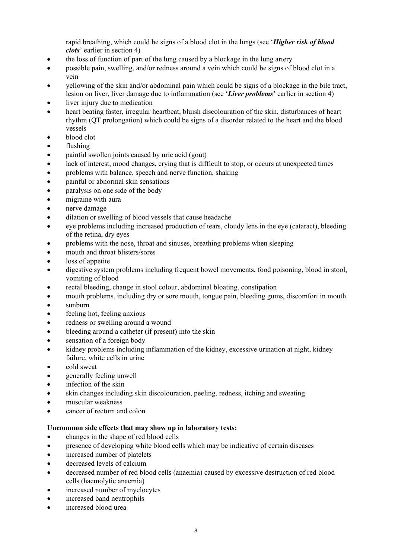rapid breathing, which could be signs of a blood clot in the lungs (see '*Higher risk of blood clots*' earlier in section 4)

- the loss of function of part of the lung caused by a blockage in the lung artery
- possible pain, swelling, and/or redness around a vein which could be signs of blood clot in a vein
- yellowing of the skin and/or abdominal pain which could be signs of a blockage in the bile tract, lesion on liver, liver damage due to inflammation (see '*Liver problems*' earlier in section 4)
- liver injury due to medication
- heart beating faster, irregular heartbeat, bluish discolouration of the skin, disturbances of heart rhythm (QT prolongation) which could be signs of a disorder related to the heart and the blood vessels
- blood clot
- flushing
- painful swollen joints caused by uric acid (gout)
- lack of interest, mood changes, crying that is difficult to stop, or occurs at unexpected times
- problems with balance, speech and nerve function, shaking
- painful or abnormal skin sensations
- paralysis on one side of the body
- migraine with aura
- nerve damage
- dilation or swelling of blood vessels that cause headache
- eye problems including increased production of tears, cloudy lens in the eye (cataract), bleeding of the retina, dry eyes
- problems with the nose, throat and sinuses, breathing problems when sleeping
- mouth and throat blisters/sores
- loss of appetite
- digestive system problems including frequent bowel movements, food poisoning, blood in stool, vomiting of blood
- rectal bleeding, change in stool colour, abdominal bloating, constipation
- mouth problems, including dry or sore mouth, tongue pain, bleeding gums, discomfort in mouth
- sunburn
- feeling hot, feeling anxious
- redness or swelling around a wound
- bleeding around a catheter (if present) into the skin
- sensation of a foreign body
- kidney problems including inflammation of the kidney, excessive urination at night, kidney failure, white cells in urine
- cold sweat
- generally feeling unwell
- infection of the skin
- skin changes including skin discolouration, peeling, redness, itching and sweating
- muscular weakness
- cancer of rectum and colon

### **Uncommon side effects that may show up in laboratory tests:**

- changes in the shape of red blood cells
- presence of developing white blood cells which may be indicative of certain diseases
- increased number of platelets
- decreased levels of calcium
- decreased number of red blood cells (anaemia) caused by excessive destruction of red blood cells (haemolytic anaemia)
- increased number of myelocytes
- increased band neutrophils
- increased blood urea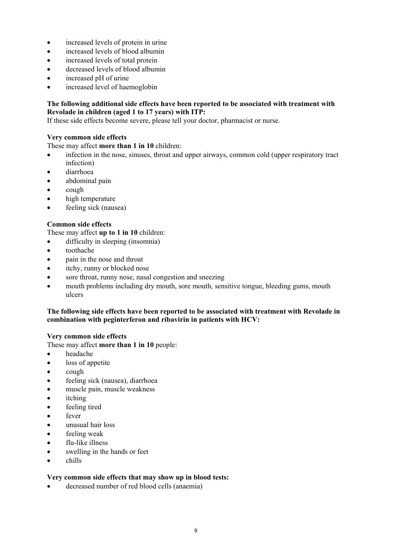- increased levels of protein in urine
- increased levels of blood albumin
- increased levels of total protein
- decreased levels of blood albumin
- increased pH of urine
- increased level of haemoglobin

## **The following additional side effects have been reported to be associated with treatment with Revolade in children (aged 1 to 17 years) with ITP:**

If these side effects become severe, please tell your doctor, pharmacist or nurse.

# **Very common side effects**

These may affect **more than 1 in 10** children:

- infection in the nose, sinuses, throat and upper airways, common cold (upper respiratory tract infection)
- diarrhoea
- abdominal pain
- cough
- high temperature
- feeling sick (nausea)

# **Common side effects**

These may affect **up to 1 in 10** children:

- difficulty in sleeping (insomnia)
- toothache
- pain in the nose and throat
- itchy, runny or blocked nose
- sore throat, runny nose, nasal congestion and sneezing
- mouth problems including dry mouth, sore mouth, sensitive tongue, bleeding gums, mouth ulcers

### **The following side effects have been reported to be associated with treatment with Revolade in combination with peginterferon and ribavirin in patients with HCV:**

### **Very common side effects**

These may affect **more than 1 in 10** people:

- headache
- loss of appetite
- cough
- feeling sick (nausea), diarrhoea
- muscle pain, muscle weakness
- itching
- feeling tired
- fever
- unusual hair loss
- feeling weak
- flu-like illness
- swelling in the hands or feet
- chills

### **Very common side effects that may show up in blood tests:**

• decreased number of red blood cells (anaemia)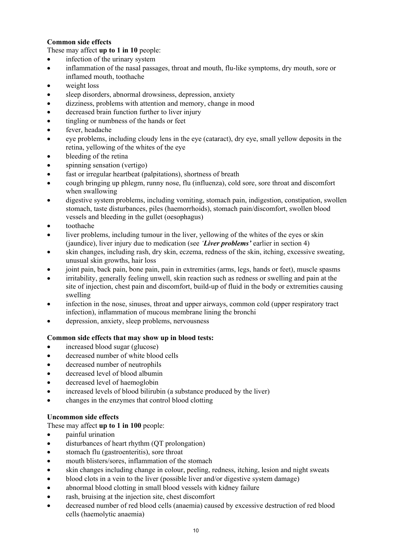# **Common side effects**

These may affect **up to 1 in 10** people:

- infection of the urinary system
- inflammation of the nasal passages, throat and mouth, flu-like symptoms, dry mouth, sore or inflamed mouth, toothache
- weight loss
- sleep disorders, abnormal drowsiness, depression, anxiety
- dizziness, problems with attention and memory, change in mood
- decreased brain function further to liver injury
- tingling or numbness of the hands or feet
- fever, headache
- eye problems, including cloudy lens in the eye (cataract), dry eye, small yellow deposits in the retina, yellowing of the whites of the eye
- bleeding of the retina
- spinning sensation (vertigo)
- fast or irregular heartbeat (palpitations), shortness of breath
- cough bringing up phlegm, runny nose, flu (influenza), cold sore, sore throat and discomfort when swallowing
- digestive system problems, including vomiting, stomach pain, indigestion, constipation, swollen stomach, taste disturbances, piles (haemorrhoids), stomach pain/discomfort, swollen blood vessels and bleeding in the gullet (oesophagus)
- toothache
- liver problems, including tumour in the liver, yellowing of the whites of the eyes or skin (jaundice), liver injury due to medication (see *'Liver problems'* earlier in section 4)
- skin changes, including rash, dry skin, eczema, redness of the skin, itching, excessive sweating, unusual skin growths, hair loss
- joint pain, back pain, bone pain, pain in extremities (arms, legs, hands or feet), muscle spasms
- irritability, generally feeling unwell, skin reaction such as redness or swelling and pain at the site of injection, chest pain and discomfort, build-up of fluid in the body or extremities causing swelling
- infection in the nose, sinuses, throat and upper airways, common cold (upper respiratory tract infection), inflammation of mucous membrane lining the bronchi
- depression, anxiety, sleep problems, nervousness

# **Common side effects that may show up in blood tests:**

- increased blood sugar (glucose)
- decreased number of white blood cells
- decreased number of neutrophils
- decreased level of blood albumin
- decreased level of haemoglobin
- increased levels of blood bilirubin (a substance produced by the liver)
- changes in the enzymes that control blood clotting

# **Uncommon side effects**

# These may affect **up to 1 in 100** people:

- painful urination
- disturbances of heart rhythm (QT prolongation)
- stomach flu (gastroenteritis), sore throat
- mouth blisters/sores, inflammation of the stomach
- skin changes including change in colour, peeling, redness, itching, lesion and night sweats
- blood clots in a vein to the liver (possible liver and/or digestive system damage)
- abnormal blood clotting in small blood vessels with kidney failure
- rash, bruising at the injection site, chest discomfort
- decreased number of red blood cells (anaemia) caused by excessive destruction of red blood cells (haemolytic anaemia)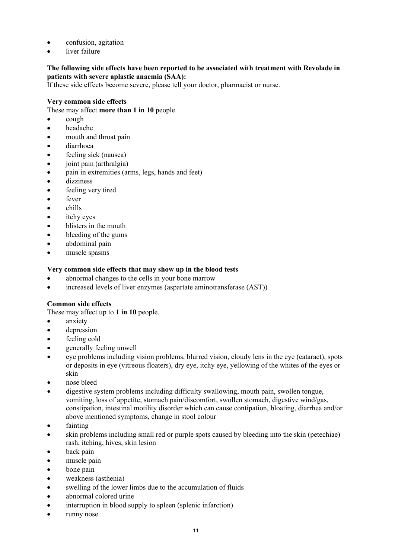- confusion, agitation
- liver failure

# **The following side effects have been reported to be associated with treatment with Revolade in patients with severe aplastic anaemia (SAA):**

If these side effects become severe, please tell your doctor, pharmacist or nurse.

# **Very common side effects**

These may affect **more than 1 in 10** people.

- cough
- headache
- mouth and throat pain
- diarrhoea
- feeling sick (nausea)
- joint pain (arthralgia)
- pain in extremities (arms, legs, hands and feet)
- dizziness
- feeling very tired
- fever
- chills
- itchy eyes
- blisters in the mouth
- bleeding of the gums
- abdominal pain
- muscle spasms

# **Very common side effects that may show up in the blood tests**

- abnormal changes to the cells in your bone marrow
- increased levels of liver enzymes (aspartate aminotransferase (AST))

# **Common side effects**

- These may affect up to **1 in 10** people.
- anxiety
- depression
- feeling cold
- generally feeling unwell
- eye problems including vision problems, blurred vision, cloudy lens in the eye (cataract), spots or deposits in eye (vitreous floaters), dry eye, itchy eye, yellowing of the whites of the eyes or skin
- nose bleed
- digestive system problems including difficulty swallowing, mouth pain, swollen tongue, vomiting, loss of appetite, stomach pain/discomfort, swollen stomach, digestive wind/gas, constipation, intestinal motility disorder which can cause contipation, bloating, diarrhea and/or above mentioned symptoms, change in stool colour
- fainting
- skin problems including small red or purple spots caused by bleeding into the skin (petechiae) rash, itching, hives, skin lesion
- back pain
- muscle pain
- bone pain
- weakness (asthenia)
- swelling of the lower limbs due to the accumulation of fluids
- abnormal colored urine
- interruption in blood supply to spleen (splenic infarction)
- runny nose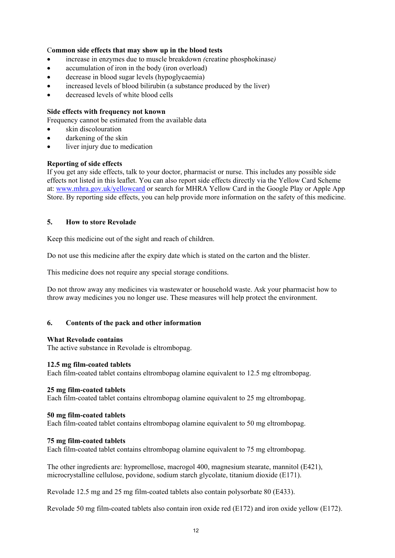# C**ommon side effects that may show up in the blood tests**

- increase in enzymes due to muscle breakdown *(*creatine phosphokinase*)*
- accumulation of iron in the body (iron overload)
- decrease in blood sugar levels (hypoglycaemia)
- increased levels of blood bilirubin (a substance produced by the liver)
- decreased levels of white blood cells

### **Side effects with frequency not known**

Frequency cannot be estimated from the available data

- skin discolouration
- darkening of the skin
- liver injury due to medication

# **Reporting of side effects**

If you get any side effects, talk to your doctor, pharmacist or nurse. This includes any possible side effects not listed in this leaflet. You can also report side effects directly via the Yellow Card Scheme at: [www.mhra.gov.uk/yellowcard](http://www.mhra.gov.uk/yellowcard) or search for MHRA Yellow Card in the Google Play or Apple App Store. By reporting side effects, you can help provide more information on the safety of this medicine.

# **5. How to store Revolade**

Keep this medicine out of the sight and reach of children.

Do not use this medicine after the expiry date which is stated on the carton and the blister.

This medicine does not require any special storage conditions.

Do not throw away any medicines via wastewater or household waste. Ask your pharmacist how to throw away medicines you no longer use. These measures will help protect the environment.

### **6. Contents of the pack and other information**

### **What Revolade contains**

The active substance in Revolade is eltrombopag.

### **12.5 mg film-coated tablets**

Each film-coated tablet contains eltrombopag olamine equivalent to 12.5 mg eltrombopag.

### **25 mg film-coated tablets**

Each film-coated tablet contains eltrombopag olamine equivalent to 25 mg eltrombopag.

### **50 mg film-coated tablets**

Each film-coated tablet contains eltrombopag olamine equivalent to 50 mg eltrombopag.

### **75 mg film-coated tablets**

Each film-coated tablet contains eltrombopag olamine equivalent to 75 mg eltrombopag.

The other ingredients are: hypromellose, macrogol 400, magnesium stearate, mannitol (E421), microcrystalline cellulose, povidone, sodium starch glycolate, titanium dioxide (E171).

Revolade 12.5 mg and 25 mg film-coated tablets also contain polysorbate 80 (E433).

Revolade 50 mg film-coated tablets also contain iron oxide red (E172) and iron oxide yellow (E172).